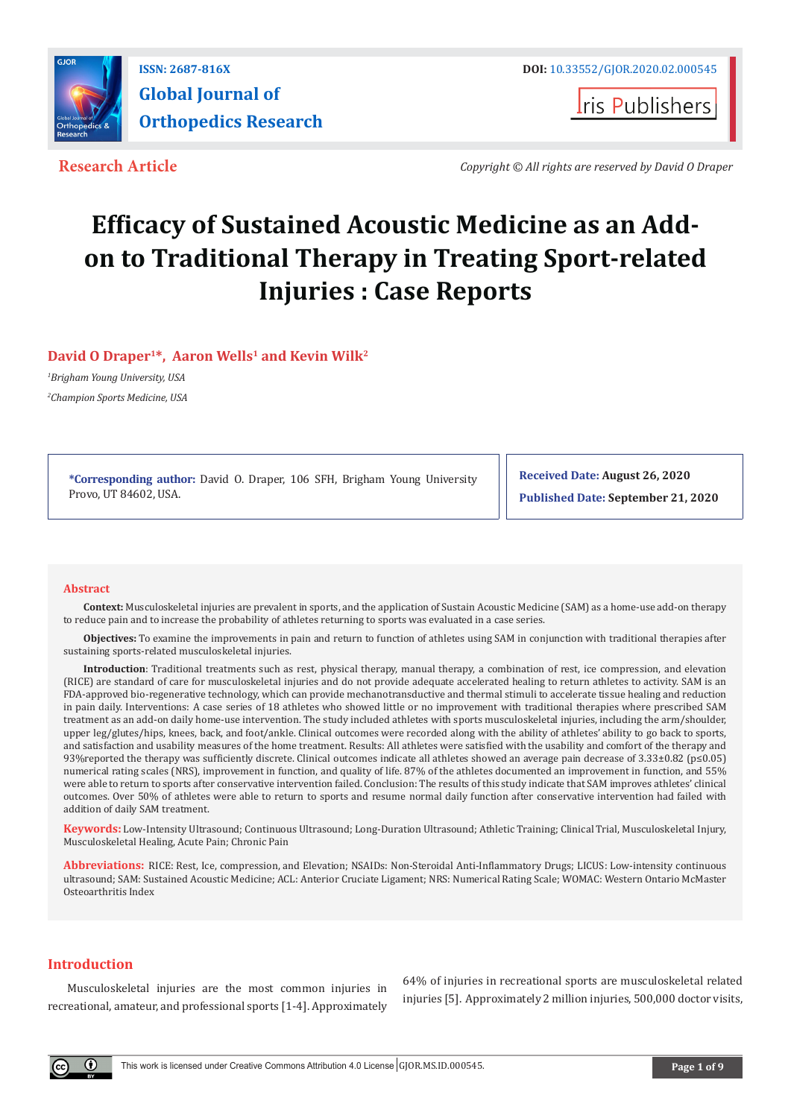

**I**ris Publishers

**Research Article** *Copyright © All rights are reserved by David O Draper*

# **Efficacy of Sustained Acoustic Medicine as an Addon to Traditional Therapy in Treating Sport-related Injuries : Case Reports**

# **David O Draper<sup>1</sup>\*, Aaron Wells<sup>1</sup> and Kevin Wilk<sup>2</sup>**

*1 Brigham Young University, USA 2 Champion Sports Medicine, USA*

> **\*Corresponding author:** David O. Draper, 106 SFH, Brigham Young University Provo, UT 84602, USA.

**Received Date: August 26, 2020 Published Date: September 21, 2020**

# **Abstract**

**Context:** Musculoskeletal injuries are prevalent in sports, and the application of Sustain Acoustic Medicine (SAM) as a home-use add-on therapy to reduce pain and to increase the probability of athletes returning to sports was evaluated in a case series.

**Objectives:** To examine the improvements in pain and return to function of athletes using SAM in conjunction with traditional therapies after sustaining sports-related musculoskeletal injuries.

**Introduction**: Traditional treatments such as rest, physical therapy, manual therapy, a combination of rest, ice compression, and elevation (RICE) are standard of care for musculoskeletal injuries and do not provide adequate accelerated healing to return athletes to activity. SAM is an FDA-approved bio-regenerative technology, which can provide mechanotransductive and thermal stimuli to accelerate tissue healing and reduction in pain daily. Interventions: A case series of 18 athletes who showed little or no improvement with traditional therapies where prescribed SAM treatment as an add-on daily home-use intervention. The study included athletes with sports musculoskeletal injuries, including the arm/shoulder, upper leg/glutes/hips, knees, back, and foot/ankle. Clinical outcomes were recorded along with the ability of athletes' ability to go back to sports, and satisfaction and usability measures of the home treatment. Results: All athletes were satisfied with the usability and comfort of the therapy and 93%reported the therapy was sufficiently discrete. Clinical outcomes indicate all athletes showed an average pain decrease of 3.33±0.82 (p≤0.05) numerical rating scales (NRS), improvement in function, and quality of life. 87% of the athletes documented an improvement in function, and 55% were able to return to sports after conservative intervention failed. Conclusion: The results of this study indicate that SAM improves athletes' clinical outcomes. Over 50% of athletes were able to return to sports and resume normal daily function after conservative intervention had failed with addition of daily SAM treatment.

**Keywords:** Low-Intensity Ultrasound; Continuous Ultrasound; Long-Duration Ultrasound; Athletic Training; Clinical Trial, Musculoskeletal Injury, Musculoskeletal Healing, Acute Pain; Chronic Pain

**Abbreviations:** RICE: Rest, Ice, compression, and Elevation; NSAIDs: Non-Steroidal Anti-Inflammatory Drugs; LICUS: Low-intensity continuous ultrasound; SAM: Sustained Acoustic Medicine; ACL: Anterior Cruciate Ligament; NRS: Numerical Rating Scale; WOMAC: Western Ontario McMaster Osteoarthritis Index

# **Introduction**

Musculoskeletal injuries are the most common injuries in recreational, amateur, and professional sports [1-4]. Approximately

64% of injuries in recreational sports are musculoskeletal related injuries [5]. Approximately 2 million injuries, 500,000 doctor visits,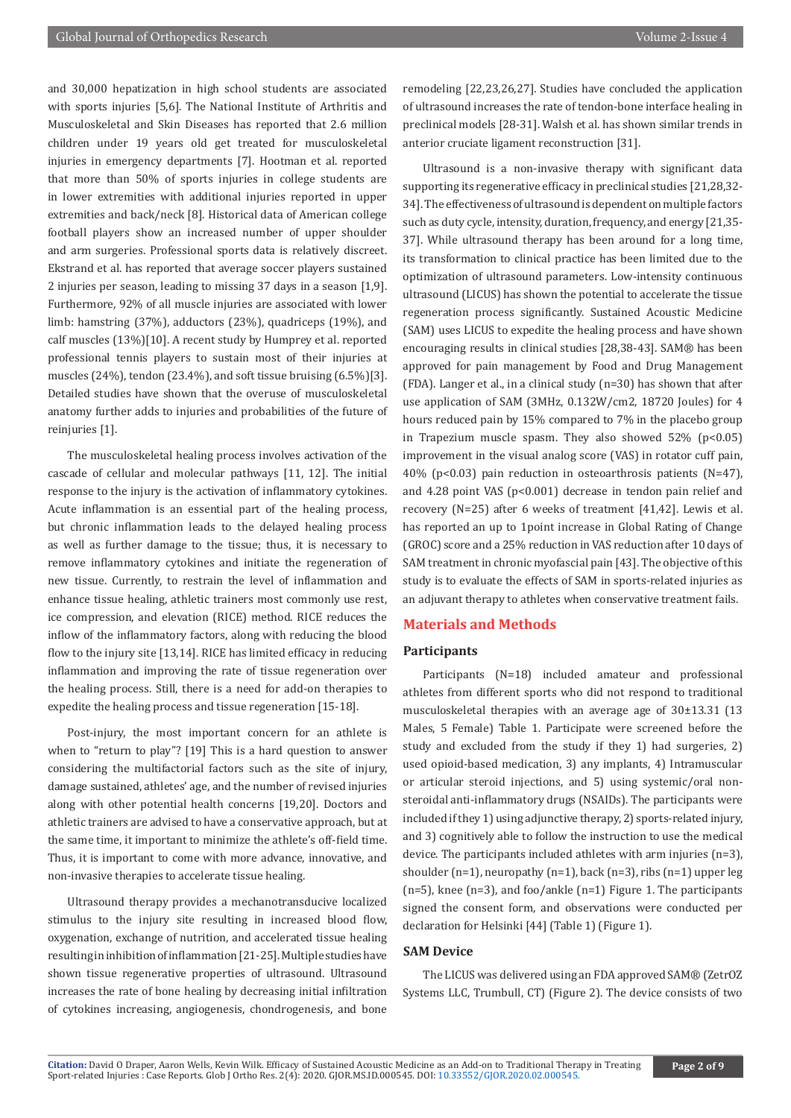and 30,000 hepatization in high school students are associated with sports injuries [5,6]. The National Institute of Arthritis and Musculoskeletal and Skin Diseases has reported that 2.6 million children under 19 years old get treated for musculoskeletal injuries in emergency departments [7]. Hootman et al. reported that more than 50% of sports injuries in college students are in lower extremities with additional injuries reported in upper extremities and back/neck [8]. Historical data of American college football players show an increased number of upper shoulder and arm surgeries. Professional sports data is relatively discreet. Ekstrand et al. has reported that average soccer players sustained 2 injuries per season, leading to missing 37 days in a season [1,9]. Furthermore, 92% of all muscle injuries are associated with lower limb: hamstring (37%), adductors (23%), quadriceps (19%), and calf muscles (13%)[10]. A recent study by Humprey et al. reported professional tennis players to sustain most of their injuries at muscles (24%), tendon (23.4%), and soft tissue bruising (6.5%)[3]. Detailed studies have shown that the overuse of musculoskeletal anatomy further adds to injuries and probabilities of the future of reinjuries [1].

The musculoskeletal healing process involves activation of the cascade of cellular and molecular pathways [11, 12]. The initial response to the injury is the activation of inflammatory cytokines. Acute inflammation is an essential part of the healing process, but chronic inflammation leads to the delayed healing process as well as further damage to the tissue; thus, it is necessary to remove inflammatory cytokines and initiate the regeneration of new tissue. Currently, to restrain the level of inflammation and enhance tissue healing, athletic trainers most commonly use rest, ice compression, and elevation (RICE) method. RICE reduces the inflow of the inflammatory factors, along with reducing the blood flow to the injury site [13,14]. RICE has limited efficacy in reducing inflammation and improving the rate of tissue regeneration over the healing process. Still, there is a need for add-on therapies to expedite the healing process and tissue regeneration [15-18].

Post-injury, the most important concern for an athlete is when to "return to play"? [19] This is a hard question to answer considering the multifactorial factors such as the site of injury, damage sustained, athletes' age, and the number of revised injuries along with other potential health concerns [19,20]. Doctors and athletic trainers are advised to have a conservative approach, but at the same time, it important to minimize the athlete's off-field time. Thus, it is important to come with more advance, innovative, and non-invasive therapies to accelerate tissue healing.

Ultrasound therapy provides a mechanotransducive localized stimulus to the injury site resulting in increased blood flow, oxygenation, exchange of nutrition, and accelerated tissue healing resulting in inhibition of inflammation [21-25]. Multiple studies have shown tissue regenerative properties of ultrasound. Ultrasound increases the rate of bone healing by decreasing initial infiltration of cytokines increasing, angiogenesis, chondrogenesis, and bone

remodeling [22,23,26,27]. Studies have concluded the application of ultrasound increases the rate of tendon-bone interface healing in preclinical models [28-31]. Walsh et al. has shown similar trends in anterior cruciate ligament reconstruction [31].

Ultrasound is a non-invasive therapy with significant data supporting its regenerative efficacy in preclinical studies [21,28,32- 34]. The effectiveness of ultrasound is dependent on multiple factors such as duty cycle, intensity, duration, frequency, and energy [21,35- 37]. While ultrasound therapy has been around for a long time, its transformation to clinical practice has been limited due to the optimization of ultrasound parameters. Low-intensity continuous ultrasound (LICUS) has shown the potential to accelerate the tissue regeneration process significantly. Sustained Acoustic Medicine (SAM) uses LICUS to expedite the healing process and have shown encouraging results in clinical studies [28,38-43]. SAM® has been approved for pain management by Food and Drug Management (FDA). Langer et al., in a clinical study (n=30) has shown that after use application of SAM (3MHz, 0.132W/cm2, 18720 Joules) for 4 hours reduced pain by 15% compared to 7% in the placebo group in Trapezium muscle spasm. They also showed  $52\%$  (p<0.05) improvement in the visual analog score (VAS) in rotator cuff pain, 40% (p<0.03) pain reduction in osteoarthrosis patients (N=47), and 4.28 point VAS (p<0.001) decrease in tendon pain relief and recovery (N=25) after 6 weeks of treatment [41,42]. Lewis et al. has reported an up to 1point increase in Global Rating of Change (GROC) score and a 25% reduction in VAS reduction after 10 days of SAM treatment in chronic myofascial pain [43]. The objective of this study is to evaluate the effects of SAM in sports-related injuries as an adjuvant therapy to athletes when conservative treatment fails.

# **Materials and Methods**

#### **Participants**

Participants (N=18) included amateur and professional athletes from different sports who did not respond to traditional musculoskeletal therapies with an average age of 30±13.31 (13 Males, 5 Female) Table 1. Participate were screened before the study and excluded from the study if they 1) had surgeries, 2) used opioid-based medication, 3) any implants, 4) Intramuscular or articular steroid injections, and 5) using systemic/oral nonsteroidal anti-inflammatory drugs (NSAIDs). The participants were included if they 1) using adjunctive therapy, 2) sports-related injury, and 3) cognitively able to follow the instruction to use the medical device. The participants included athletes with arm injuries (n=3), shoulder  $(n=1)$ , neuropathy  $(n=1)$ , back  $(n=3)$ , ribs  $(n=1)$  upper leg (n=5), knee (n=3), and foo/ankle (n=1) Figure 1. The participants signed the consent form, and observations were conducted per declaration for Helsinki [44] (Table 1) (Figure 1).

# **SAM Device**

The LICUS was delivered using an FDA approved SAM® (ZetrOZ Systems LLC, Trumbull, CT) (Figure 2). The device consists of two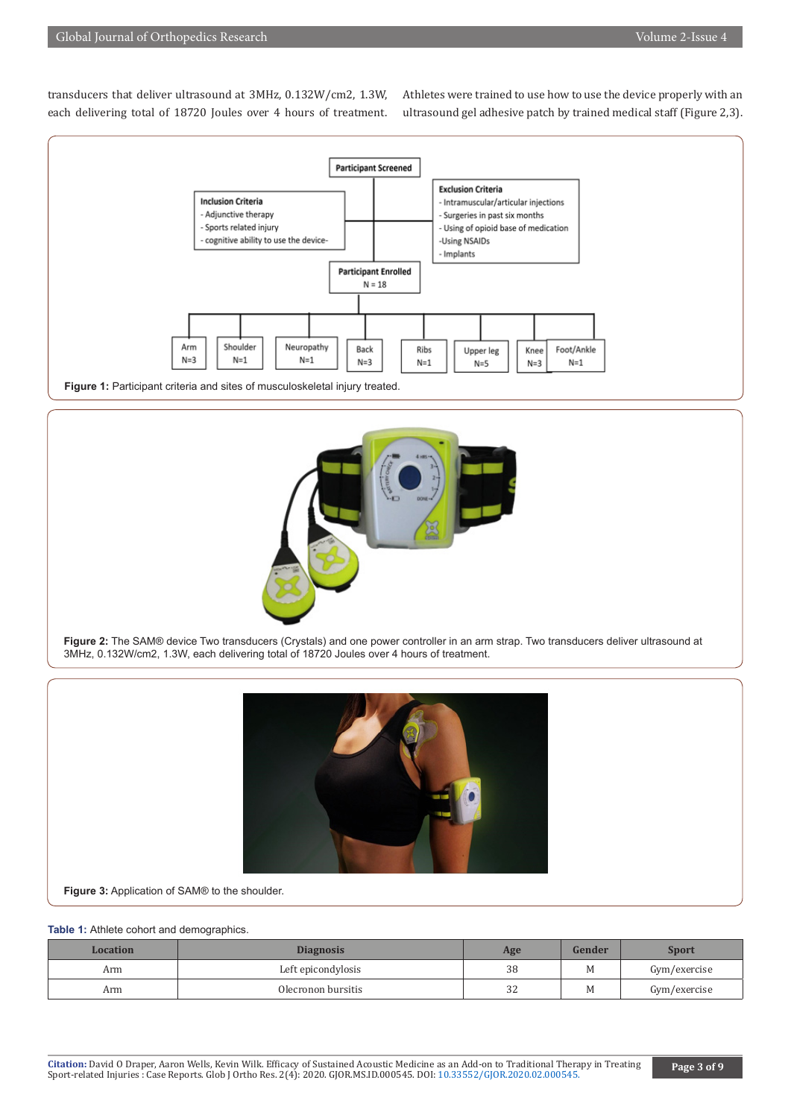transducers that deliver ultrasound at 3MHz, 0.132W/cm2, 1.3W, each delivering total of 18720 Joules over 4 hours of treatment. Athletes were trained to use how to use the device properly with an ultrasound gel adhesive patch by trained medical staff (Figure 2,3).





**Figure 2:** The SAM® device Two transducers (Crystals) and one power controller in an arm strap. Two transducers deliver ultrasound at 3MHz, 0.132W/cm2, 1.3W, each delivering total of 18720 Joules over 4 hours of treatment.



**Figure 3:** Application of SAM® to the shoulder.

#### **Table 1:** Athlete cohort and demographics.

| Location | <b>Diagnosis</b>   | Age           | Gender | Sport        |
|----------|--------------------|---------------|--------|--------------|
| Arm      | Left epicondylosis | 38            | М      | Gym/exercise |
| Arm      | Olecronon bursitis | $\sim$<br>ے ت | M      | Gym/exercise |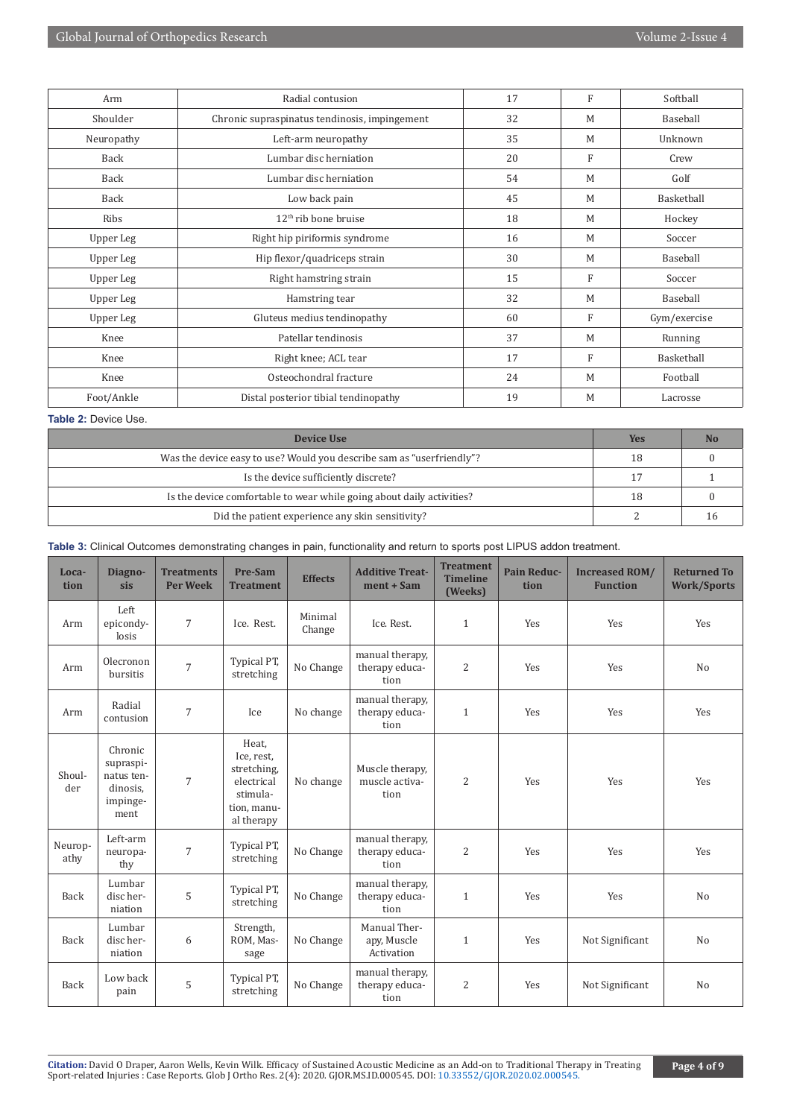| Arm        | Radial contusion                              | 17 | F            | Softball     |  |
|------------|-----------------------------------------------|----|--------------|--------------|--|
| Shoulder   | Chronic supraspinatus tendinosis, impingement | 32 | M            | Baseball     |  |
| Neuropathy | Left-arm neuropathy                           | 35 | M            | Unknown      |  |
| Back       | Lumbar disc herniation                        | 20 | F            | Crew         |  |
| Back       | Lumbar disc herniation                        | 54 | M            | Golf         |  |
| Back       | Low back pain                                 | 45 | M            | Basketball   |  |
| Ribs       | $12th$ rib bone bruise                        | 18 | M            | Hockey       |  |
| Upper Leg  | Right hip piriformis syndrome                 | 16 | M            | Soccer       |  |
| Upper Leg  | Hip flexor/quadriceps strain                  | 30 | M            | Baseball     |  |
| Upper Leg  | Right hamstring strain                        | 15 | $\mathbf{F}$ | Soccer       |  |
| Upper Leg  | Hamstring tear                                | 32 | M            | Baseball     |  |
| Upper Leg  | Gluteus medius tendinopathy                   | 60 | F            | Gym/exercise |  |
| Knee       | Patellar tendinosis                           | 37 | M            | Running      |  |
| Knee       | Right knee; ACL tear                          | 17 | F            | Basketball   |  |
| Knee       | Osteochondral fracture                        | 24 | M            | Football     |  |
| Foot/Ankle | Distal posterior tibial tendinopathy          | 19 | M            | Lacrosse     |  |

# **Table 2:** Device Use.

| Device Use                                                            | Yes | No |
|-----------------------------------------------------------------------|-----|----|
| Was the device easy to use? Would you describe sam as "userfriendly"? | 18  |    |
| Is the device sufficiently discrete?                                  |     |    |
| Is the device comfortable to wear while going about daily activities? | 18  |    |
| Did the patient experience any skin sensitivity?                      |     |    |

| Loca-<br>tion   | Diagno-<br>sis                                                     | <b>Treatments</b><br><b>Per Week</b> | Pre-Sam<br><b>Treatment</b>                                                               | <b>Effects</b>    | <b>Additive Treat-</b><br>$ment + Sam$    | <b>Treatment</b><br><b>Timeline</b><br>(Weeks) | <b>Pain Reduc-</b><br>tion | <b>Increased ROM/</b><br><b>Function</b> | <b>Returned To</b><br><b>Work/Sports</b> |
|-----------------|--------------------------------------------------------------------|--------------------------------------|-------------------------------------------------------------------------------------------|-------------------|-------------------------------------------|------------------------------------------------|----------------------------|------------------------------------------|------------------------------------------|
| Arm             | Left<br>epicondy-<br>losis                                         | $7\overline{ }$                      | Ice. Rest.                                                                                | Minimal<br>Change | Ice. Rest.                                | $\mathbf{1}$                                   | Yes                        | Yes                                      | Yes                                      |
| Arm             | Olecronon<br>bursitis                                              | $\overline{7}$                       | Typical PT,<br>stretching                                                                 | No Change         | manual therapy,<br>therapy educa-<br>tion | $\overline{2}$                                 | Yes                        | Yes                                      | N <sub>o</sub>                           |
| Arm             | Radial<br>contusion                                                | 7                                    | Ice                                                                                       | No change         | manual therapy,<br>therapy educa-<br>tion | $\mathbf{1}$                                   | Yes                        | Yes                                      | Yes                                      |
| Shoul-<br>der   | Chronic<br>supraspi-<br>natus ten-<br>dinosis.<br>impinge-<br>ment | $\overline{7}$                       | Heat,<br>Ice, rest,<br>stretching,<br>electrical<br>stimula-<br>tion, manu-<br>al therapy | No change         | Muscle therapy,<br>muscle activa-<br>tion | $\overline{2}$                                 | Yes                        | Yes                                      | Yes                                      |
| Neurop-<br>athy | Left-arm<br>neuropa-<br>thy                                        | $\overline{7}$                       | Typical PT,<br>stretching                                                                 | No Change         | manual therapy,<br>therapy educa-<br>tion | $\overline{2}$                                 | Yes                        | Yes                                      | Yes                                      |
| Back            | Lumbar<br>disc her-<br>niation                                     | 5                                    | Typical PT,<br>stretching                                                                 | No Change         | manual therapy,<br>therapy educa-<br>tion | $\mathbf{1}$                                   | Yes                        | Yes                                      | N <sub>o</sub>                           |
| Back            | Lumbar<br>disc her-<br>niation                                     | 6                                    | Strength,<br>ROM, Mas-<br>sage                                                            | No Change         | Manual Ther-<br>apy, Muscle<br>Activation | $\mathbf{1}$                                   | Yes                        | Not Significant                          | No                                       |
| Back            | Low back<br>pain                                                   | 5                                    | Typical PT,<br>stretching                                                                 | No Change         | manual therapy,<br>therapy educa-<br>tion | $\overline{2}$                                 | Yes                        | Not Significant                          | N <sub>o</sub>                           |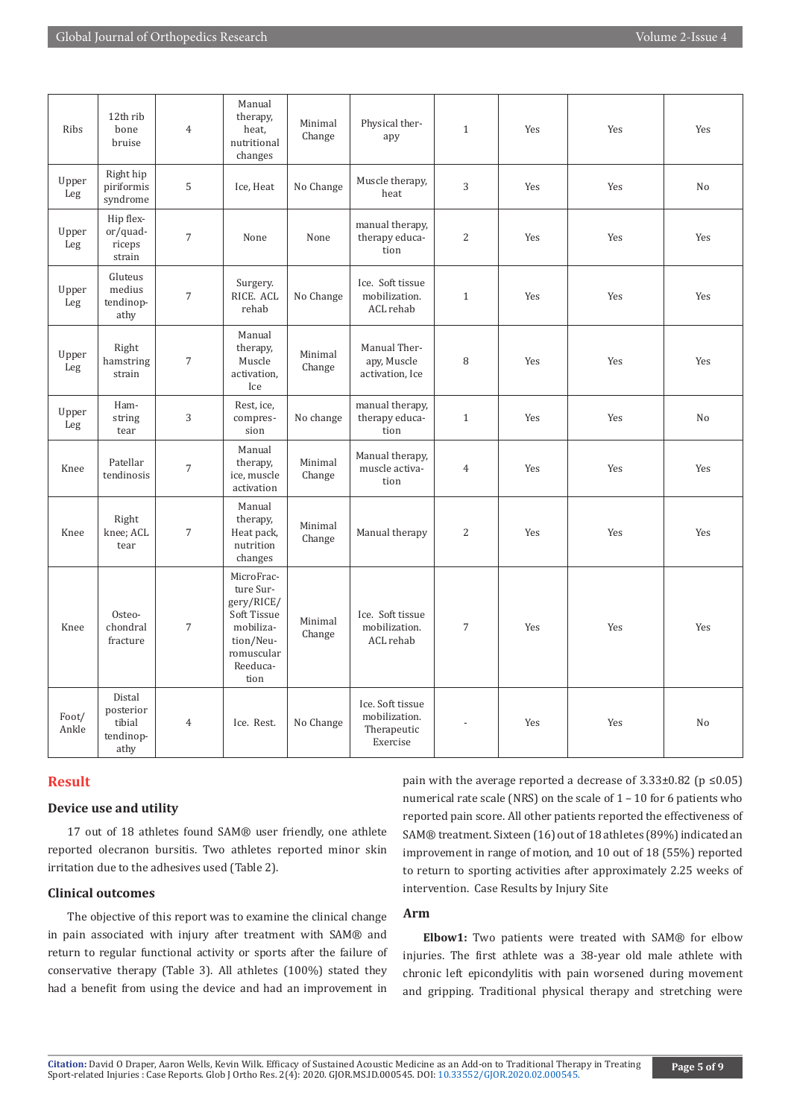| Ribs           | 12th rib<br>bone<br>bruise                         | $\overline{4}$   | Manual<br>therapy,<br>heat.<br>nutritional<br>changes                                                            | Minimal<br>Change | Physical ther-<br>apy                                        | $\mathbf{1}$   | Yes | Yes | Yes            |
|----------------|----------------------------------------------------|------------------|------------------------------------------------------------------------------------------------------------------|-------------------|--------------------------------------------------------------|----------------|-----|-----|----------------|
| Upper<br>Leg   | Right hip<br>piriformis<br>syndrome                | 5                | Ice, Heat                                                                                                        | No Change         | Muscle therapy,<br>heat                                      | 3              | Yes | Yes | N <sub>o</sub> |
| Upper<br>Leg   | Hip flex-<br>or/quad-<br>riceps<br>strain          | $\overline{7}$   | None                                                                                                             | None              | manual therapy,<br>therapy educa-<br>tion                    | $\overline{c}$ | Yes | Yes | Yes            |
| Upper<br>Leg   | Gluteus<br>medius<br>tendinop-<br>athy             | $\sqrt{ }$       | Surgery.<br>RICE. ACL<br>rehab                                                                                   | No Change         | Ice. Soft tissue<br>mobilization.<br>ACL rehab               | $\mathbf{1}$   | Yes | Yes | Yes            |
| Upper<br>Leg   | Right<br>hamstring<br>strain                       | $\sqrt{ }$       | Manual<br>therapy,<br>Muscle<br>activation,<br>Ice                                                               | Minimal<br>Change | Manual Ther-<br>apy, Muscle<br>activation, Ice               | 8              | Yes | Yes | Yes            |
| Upper<br>Leg   | Ham-<br>string<br>tear                             | $\sqrt{3}$       | Rest, ice,<br>compres-<br>sion                                                                                   | No change         | manual therapy,<br>therapy educa-<br>tion                    | $\mathbf{1}$   | Yes | Yes | N <sub>o</sub> |
| Knee           | Patellar<br>tendinosis                             | $\boldsymbol{7}$ | Manual<br>therapy,<br>ice, muscle<br>activation                                                                  | Minimal<br>Change | Manual therapy,<br>muscle activa-<br>tion                    | $\overline{4}$ | Yes | Yes | Yes            |
| Knee           | Right<br>knee; ACL<br>tear                         | $\sqrt{7}$       | Manual<br>therapy,<br>Heat pack,<br>nutrition<br>changes                                                         | Minimal<br>Change | Manual therapy                                               | $\overline{c}$ | Yes | Yes | Yes            |
| Knee           | Osteo-<br>chondral<br>fracture                     | $\sqrt{ }$       | MicroFrac-<br>ture Sur-<br>gery/RICE/<br>Soft Tissue<br>mobiliza-<br>tion/Neu-<br>romuscular<br>Reeduca-<br>tion | Minimal<br>Change | Ice. Soft tissue<br>mobilization.<br>ACL rehab               | $\overline{7}$ | Yes | Yes | Yes            |
| Foot/<br>Ankle | Distal<br>posterior<br>tibial<br>tendinop-<br>athy | $\overline{4}$   | Ice. Rest.                                                                                                       | No Change         | Ice. Soft tissue<br>mobilization.<br>Therapeutic<br>Exercise |                | Yes | Yes | No             |

# **Result**

#### **Device use and utility**

17 out of 18 athletes found SAM® user friendly, one athlete reported olecranon bursitis. Two athletes reported minor skin irritation due to the adhesives used (Table 2).

# **Clinical outcomes**

The objective of this report was to examine the clinical change in pain associated with injury after treatment with SAM® and return to regular functional activity or sports after the failure of conservative therapy (Table 3). All athletes (100%) stated they had a benefit from using the device and had an improvement in

pain with the average reported a decrease of  $3.33\pm0.82$  (p  $\leq 0.05$ ) numerical rate scale (NRS) on the scale of 1 – 10 for 6 patients who reported pain score. All other patients reported the effectiveness of SAM® treatment. Sixteen (16) out of 18 athletes (89%) indicated an improvement in range of motion, and 10 out of 18 (55%) reported to return to sporting activities after approximately 2.25 weeks of intervention. Case Results by Injury Site

# **Arm**

**Elbow1:** Two patients were treated with SAM® for elbow injuries. The first athlete was a 38-year old male athlete with chronic left epicondylitis with pain worsened during movement and gripping. Traditional physical therapy and stretching were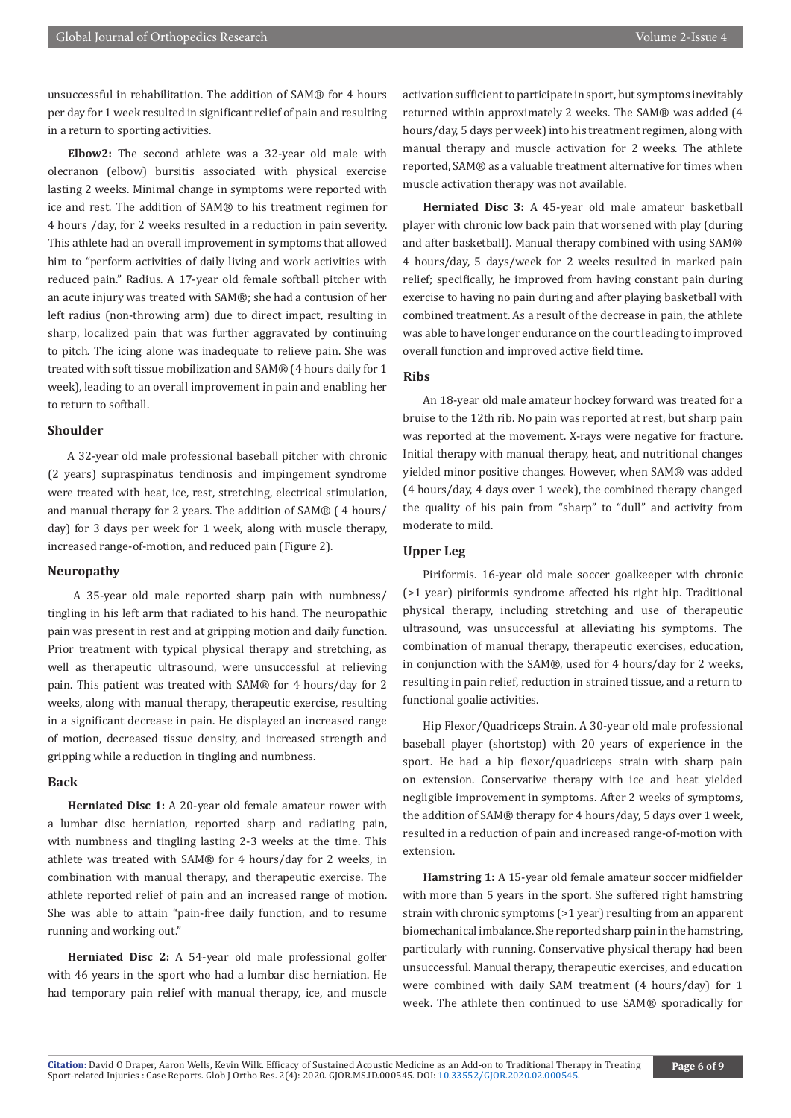unsuccessful in rehabilitation. The addition of SAM® for 4 hours per day for 1 week resulted in significant relief of pain and resulting in a return to sporting activities.

**Elbow2:** The second athlete was a 32-year old male with olecranon (elbow) bursitis associated with physical exercise lasting 2 weeks. Minimal change in symptoms were reported with ice and rest. The addition of SAM® to his treatment regimen for 4 hours /day, for 2 weeks resulted in a reduction in pain severity. This athlete had an overall improvement in symptoms that allowed him to "perform activities of daily living and work activities with reduced pain." Radius. A 17-year old female softball pitcher with an acute injury was treated with SAM®; she had a contusion of her left radius (non-throwing arm) due to direct impact, resulting in sharp, localized pain that was further aggravated by continuing to pitch. The icing alone was inadequate to relieve pain. She was treated with soft tissue mobilization and SAM® (4 hours daily for 1 week), leading to an overall improvement in pain and enabling her to return to softball.

# **Shoulder**

A 32-year old male professional baseball pitcher with chronic (2 years) supraspinatus tendinosis and impingement syndrome were treated with heat, ice, rest, stretching, electrical stimulation, and manual therapy for 2 years. The addition of SAM® ( 4 hours/ day) for 3 days per week for 1 week, along with muscle therapy, increased range-of-motion, and reduced pain (Figure 2).

#### **Neuropathy**

 A 35-year old male reported sharp pain with numbness/ tingling in his left arm that radiated to his hand. The neuropathic pain was present in rest and at gripping motion and daily function. Prior treatment with typical physical therapy and stretching, as well as therapeutic ultrasound, were unsuccessful at relieving pain. This patient was treated with SAM® for 4 hours/day for 2 weeks, along with manual therapy, therapeutic exercise, resulting in a significant decrease in pain. He displayed an increased range of motion, decreased tissue density, and increased strength and gripping while a reduction in tingling and numbness.

#### **Back**

**Herniated Disc 1:** A 20-year old female amateur rower with a lumbar disc herniation, reported sharp and radiating pain, with numbness and tingling lasting 2-3 weeks at the time. This athlete was treated with SAM® for 4 hours/day for 2 weeks, in combination with manual therapy, and therapeutic exercise. The athlete reported relief of pain and an increased range of motion. She was able to attain "pain-free daily function, and to resume running and working out."

**Herniated Disc 2:** A 54-year old male professional golfer with 46 years in the sport who had a lumbar disc herniation. He had temporary pain relief with manual therapy, ice, and muscle

activation sufficient to participate in sport, but symptoms inevitably returned within approximately 2 weeks. The SAM® was added (4 hours/day, 5 days per week) into his treatment regimen, along with manual therapy and muscle activation for 2 weeks. The athlete reported, SAM® as a valuable treatment alternative for times when muscle activation therapy was not available.

**Herniated Disc 3:** A 45-year old male amateur basketball player with chronic low back pain that worsened with play (during and after basketball). Manual therapy combined with using SAM® 4 hours/day, 5 days/week for 2 weeks resulted in marked pain relief; specifically, he improved from having constant pain during exercise to having no pain during and after playing basketball with combined treatment. As a result of the decrease in pain, the athlete was able to have longer endurance on the court leading to improved overall function and improved active field time.

### **Ribs**

An 18-year old male amateur hockey forward was treated for a bruise to the 12th rib. No pain was reported at rest, but sharp pain was reported at the movement. X-rays were negative for fracture. Initial therapy with manual therapy, heat, and nutritional changes yielded minor positive changes. However, when SAM® was added (4 hours/day, 4 days over 1 week), the combined therapy changed the quality of his pain from "sharp" to "dull" and activity from moderate to mild.

# **Upper Leg**

Piriformis. 16-year old male soccer goalkeeper with chronic (>1 year) piriformis syndrome affected his right hip. Traditional physical therapy, including stretching and use of therapeutic ultrasound, was unsuccessful at alleviating his symptoms. The combination of manual therapy, therapeutic exercises, education, in conjunction with the SAM®, used for 4 hours/day for 2 weeks, resulting in pain relief, reduction in strained tissue, and a return to functional goalie activities.

Hip Flexor/Quadriceps Strain. A 30-year old male professional baseball player (shortstop) with 20 years of experience in the sport. He had a hip flexor/quadriceps strain with sharp pain on extension. Conservative therapy with ice and heat yielded negligible improvement in symptoms. After 2 weeks of symptoms, the addition of SAM® therapy for 4 hours/day, 5 days over 1 week, resulted in a reduction of pain and increased range-of-motion with extension.

**Hamstring 1:** A 15-year old female amateur soccer midfielder with more than 5 years in the sport. She suffered right hamstring strain with chronic symptoms (>1 year) resulting from an apparent biomechanical imbalance. She reported sharp pain in the hamstring, particularly with running. Conservative physical therapy had been unsuccessful. Manual therapy, therapeutic exercises, and education were combined with daily SAM treatment (4 hours/day) for 1 week. The athlete then continued to use SAM® sporadically for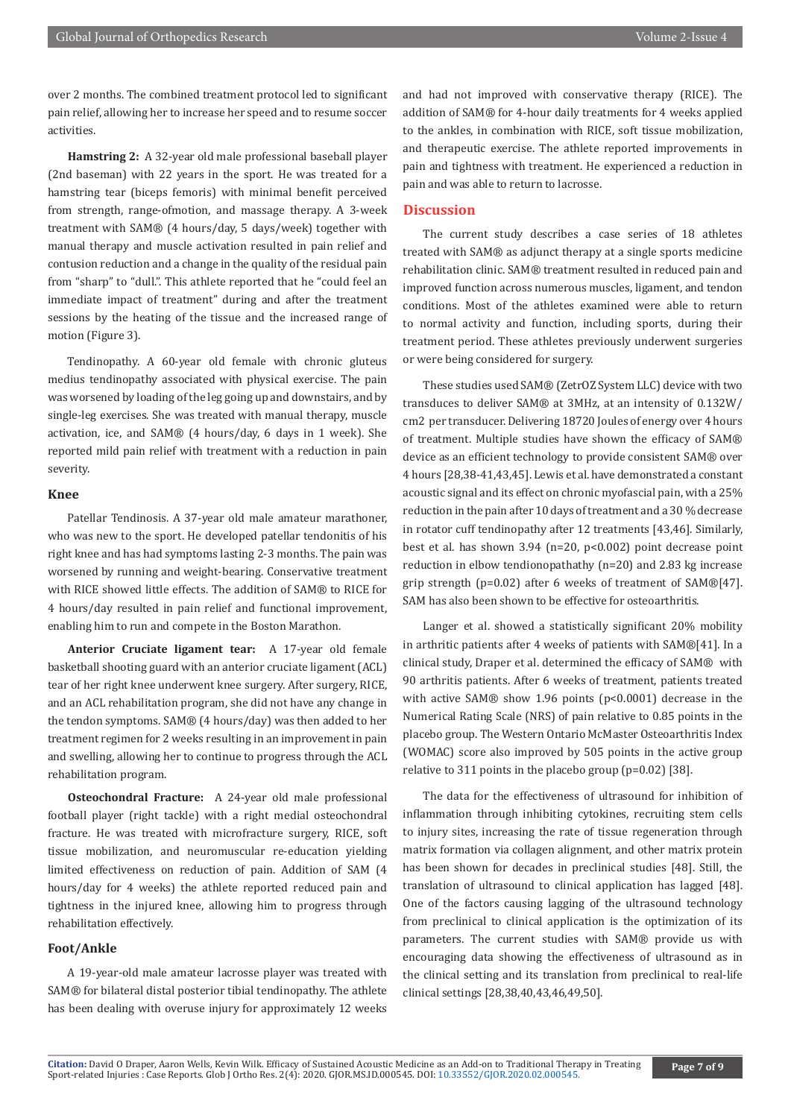over 2 months. The combined treatment protocol led to significant pain relief, allowing her to increase her speed and to resume soccer activities.

**Hamstring 2:** A 32-year old male professional baseball player (2nd baseman) with 22 years in the sport. He was treated for a hamstring tear (biceps femoris) with minimal benefit perceived from strength, range-ofmotion, and massage therapy. A 3-week treatment with SAM® (4 hours/day, 5 days/week) together with manual therapy and muscle activation resulted in pain relief and contusion reduction and a change in the quality of the residual pain from "sharp" to "dull.". This athlete reported that he "could feel an immediate impact of treatment" during and after the treatment sessions by the heating of the tissue and the increased range of motion (Figure 3).

Tendinopathy. A 60-year old female with chronic gluteus medius tendinopathy associated with physical exercise. The pain was worsened by loading of the leg going up and downstairs, and by single-leg exercises. She was treated with manual therapy, muscle activation, ice, and SAM® (4 hours/day, 6 days in 1 week). She reported mild pain relief with treatment with a reduction in pain severity.

#### **Knee**

Patellar Tendinosis. A 37-year old male amateur marathoner, who was new to the sport. He developed patellar tendonitis of his right knee and has had symptoms lasting 2-3 months. The pain was worsened by running and weight-bearing. Conservative treatment with RICE showed little effects. The addition of SAM® to RICE for 4 hours/day resulted in pain relief and functional improvement, enabling him to run and compete in the Boston Marathon.

**Anterior Cruciate ligament tear:** A 17-year old female basketball shooting guard with an anterior cruciate ligament (ACL) tear of her right knee underwent knee surgery. After surgery, RICE, and an ACL rehabilitation program, she did not have any change in the tendon symptoms. SAM® (4 hours/day) was then added to her treatment regimen for 2 weeks resulting in an improvement in pain and swelling, allowing her to continue to progress through the ACL rehabilitation program.

**Osteochondral Fracture:** A 24-year old male professional football player (right tackle) with a right medial osteochondral fracture. He was treated with microfracture surgery, RICE, soft tissue mobilization, and neuromuscular re-education yielding limited effectiveness on reduction of pain. Addition of SAM (4 hours/day for 4 weeks) the athlete reported reduced pain and tightness in the injured knee, allowing him to progress through rehabilitation effectively.

# **Foot/Ankle**

A 19-year-old male amateur lacrosse player was treated with SAM® for bilateral distal posterior tibial tendinopathy. The athlete has been dealing with overuse injury for approximately 12 weeks

and had not improved with conservative therapy (RICE). The addition of SAM® for 4-hour daily treatments for 4 weeks applied to the ankles, in combination with RICE, soft tissue mobilization, and therapeutic exercise. The athlete reported improvements in pain and tightness with treatment. He experienced a reduction in pain and was able to return to lacrosse.

#### **Discussion**

The current study describes a case series of 18 athletes treated with SAM® as adjunct therapy at a single sports medicine rehabilitation clinic. SAM® treatment resulted in reduced pain and improved function across numerous muscles, ligament, and tendon conditions. Most of the athletes examined were able to return to normal activity and function, including sports, during their treatment period. These athletes previously underwent surgeries or were being considered for surgery.

These studies used SAM® (ZetrOZ System LLC) device with two transduces to deliver SAM® at 3MHz, at an intensity of 0.132W/ cm2 per transducer. Delivering 18720 Joules of energy over 4 hours of treatment. Multiple studies have shown the efficacy of SAM® device as an efficient technology to provide consistent SAM® over 4 hours [28,38-41,43,45]. Lewis et al. have demonstrated a constant acoustic signal and its effect on chronic myofascial pain, with a 25% reduction in the pain after 10 days of treatment and a 30 % decrease in rotator cuff tendinopathy after 12 treatments [43,46]. Similarly, best et al. has shown 3.94 (n=20, p<0.002) point decrease point reduction in elbow tendionopathathy (n=20) and 2.83 kg increase grip strength (p=0.02) after 6 weeks of treatment of SAM®[47]. SAM has also been shown to be effective for osteoarthritis.

Langer et al. showed a statistically significant 20% mobility in arthritic patients after 4 weeks of patients with SAM®[41]. In a clinical study, Draper et al. determined the efficacy of SAM® with 90 arthritis patients. After 6 weeks of treatment, patients treated with active SAM® show 1.96 points (p<0.0001) decrease in the Numerical Rating Scale (NRS) of pain relative to 0.85 points in the placebo group. The Western Ontario McMaster Osteoarthritis Index (WOMAC) score also improved by 505 points in the active group relative to 311 points in the placebo group (p=0.02) [38].

The data for the effectiveness of ultrasound for inhibition of inflammation through inhibiting cytokines, recruiting stem cells to injury sites, increasing the rate of tissue regeneration through matrix formation via collagen alignment, and other matrix protein has been shown for decades in preclinical studies [48]. Still, the translation of ultrasound to clinical application has lagged [48]. One of the factors causing lagging of the ultrasound technology from preclinical to clinical application is the optimization of its parameters. The current studies with SAM® provide us with encouraging data showing the effectiveness of ultrasound as in the clinical setting and its translation from preclinical to real-life clinical settings [28,38,40,43,46,49,50].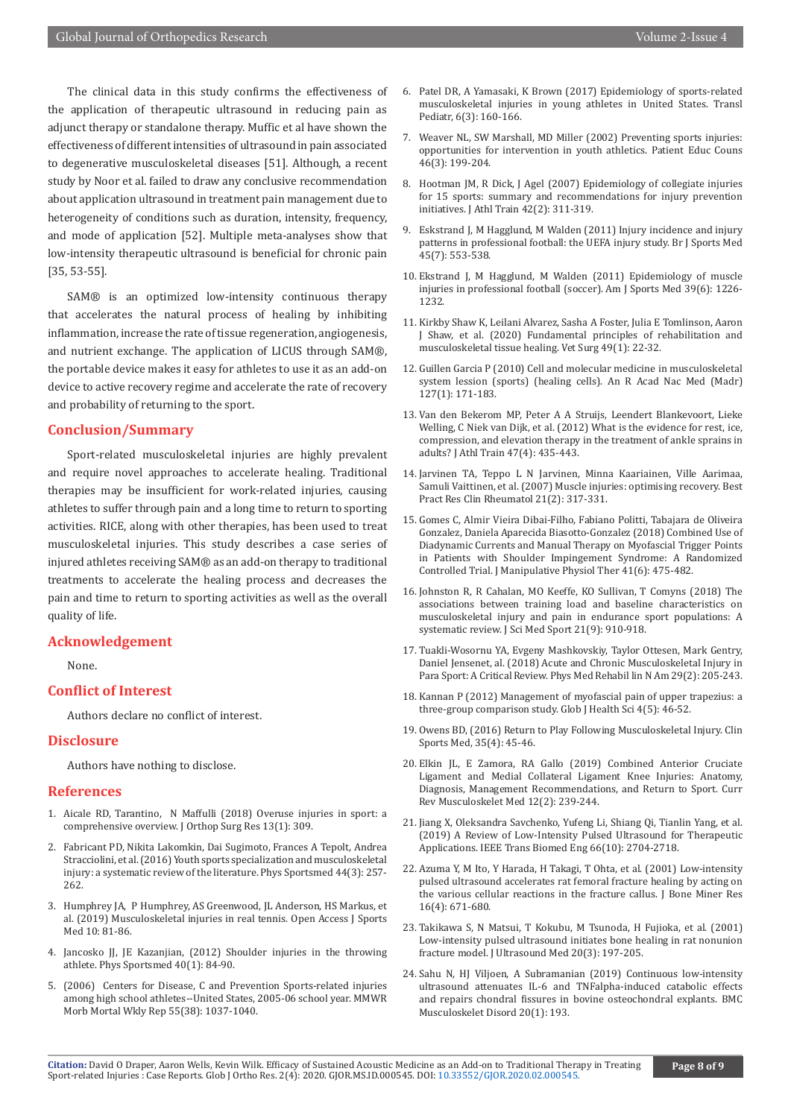The clinical data in this study confirms the effectiveness of the application of therapeutic ultrasound in reducing pain as adjunct therapy or standalone therapy. Muffic et al have shown the effectiveness of different intensities of ultrasound in pain associated to degenerative musculoskeletal diseases [51]. Although, a recent study by Noor et al. failed to draw any conclusive recommendation about application ultrasound in treatment pain management due to heterogeneity of conditions such as duration, intensity, frequency, and mode of application [52]. Multiple meta-analyses show that low-intensity therapeutic ultrasound is beneficial for chronic pain [35, 53-55].

SAM® is an optimized low-intensity continuous therapy that accelerates the natural process of healing by inhibiting inflammation, increase the rate of tissue regeneration, angiogenesis, and nutrient exchange. The application of LICUS through SAM®, the portable device makes it easy for athletes to use it as an add-on device to active recovery regime and accelerate the rate of recovery and probability of returning to the sport.

# **Conclusion/Summary**

Sport-related musculoskeletal injuries are highly prevalent and require novel approaches to accelerate healing. Traditional therapies may be insufficient for work-related injuries, causing athletes to suffer through pain and a long time to return to sporting activities. RICE, along with other therapies, has been used to treat musculoskeletal injuries. This study describes a case series of injured athletes receiving SAM® as an add-on therapy to traditional treatments to accelerate the healing process and decreases the pain and time to return to sporting activities as well as the overall quality of life.

#### **Acknowledgement**

None.

#### **Conflict of Interest**

Authors declare no conflict of interest.

#### **Disclosure**

Authors have nothing to disclose.

#### **References**

- 1. [Aicale RD, Tarantino, N Maffulli \(2018\) Overuse injuries in sport: a](https://pubmed.ncbi.nlm.nih.gov/30518382/)  [comprehensive overview. J Orthop Surg Res 13\(1\): 309.](https://pubmed.ncbi.nlm.nih.gov/30518382/)
- 2. [Fabricant PD, Nikita Lakomkin, Dai Sugimoto, Frances A Tepolt, Andrea](https://pubmed.ncbi.nlm.nih.gov/27121730/)  [Stracciolini, et al. \(2016\) Youth sports specialization and musculoskeletal](https://pubmed.ncbi.nlm.nih.gov/27121730/)  [injury: a systematic review of the literature. Phys Sportsmed 44\(3\): 257-](https://pubmed.ncbi.nlm.nih.gov/27121730/) [262.](https://pubmed.ncbi.nlm.nih.gov/27121730/)
- 3. [Humphrey JA, P Humphrey, AS Greenwood, JL Anderson, HS Markus, et](https://pubmed.ncbi.nlm.nih.gov/31213934/)  [al. \(2019\) Musculoskeletal injuries in real tennis. Open Access J Sports](https://pubmed.ncbi.nlm.nih.gov/31213934/)  [Med 10: 81-86.](https://pubmed.ncbi.nlm.nih.gov/31213934/)
- 4. Jancosko JJ, JE Kazanjian, (2012) Shoulder injuries in the throwing athlete. Phys Sportsmed 40(1): 84-90.
- 5. (2006) Centers for Disease, C and Prevention Sports-related injuries among high school athletes--United States, 2005-06 school year. MMWR Morb Mortal Wkly Rep 55(38): 1037-1040.
- 6. [Patel DR, A Yamasaki, K Brown \(2017\) Epidemiology of sports-related](https://pubmed.ncbi.nlm.nih.gov/28795006/) [musculoskeletal injuries in young athletes in United States. Transl](https://pubmed.ncbi.nlm.nih.gov/28795006/) [Pediatr, 6\(3\): 160-166.](https://pubmed.ncbi.nlm.nih.gov/28795006/)
- 7. [Weaver NL, SW Marshall, MD Miller \(2002\) Preventing sports injuries:](https://pubmed.ncbi.nlm.nih.gov/11932117/) [opportunities for intervention in youth athletics. Patient Educ Couns](https://pubmed.ncbi.nlm.nih.gov/11932117/) [46\(3\): 199-204.](https://pubmed.ncbi.nlm.nih.gov/11932117/)
- 8. [Hootman JM, R Dick, J Agel \(2007\) Epidemiology of collegiate injuries](https://pubmed.ncbi.nlm.nih.gov/17710181/) [for 15 sports: summary and recommendations for injury prevention](https://pubmed.ncbi.nlm.nih.gov/17710181/) [initiatives. J Athl Train 42\(2\): 311-319.](https://pubmed.ncbi.nlm.nih.gov/17710181/)
- 9. [Eskstrand J, M Hagglund, M Walden \(2011\) Injury incidence and injury](https://pubmed.ncbi.nlm.nih.gov/19553225/) [patterns in professional football: the UEFA injury study. Br J Sports Med](https://pubmed.ncbi.nlm.nih.gov/19553225/) [45\(7\): 553-538.](https://pubmed.ncbi.nlm.nih.gov/19553225/)
- 10. [Ekstrand J, M Hagglund, M Walden \(2011\) Epidemiology of muscle](https://pubmed.ncbi.nlm.nih.gov/21335353/) [injuries in professional football \(soccer\). Am J Sports Med 39\(6\): 1226-](https://pubmed.ncbi.nlm.nih.gov/21335353/) [1232.](https://pubmed.ncbi.nlm.nih.gov/21335353/)
- 11. [Kirkby Shaw K, Leilani Alvarez, Sasha A Foster, Julia E Tomlinson, Aaron](https://pubmed.ncbi.nlm.nih.gov/31271225/) [J Shaw, et al. \(2020\) Fundamental principles of rehabilitation and](https://pubmed.ncbi.nlm.nih.gov/31271225/) [musculoskeletal tissue healing. Vet Surg 49\(1\): 22-32.](https://pubmed.ncbi.nlm.nih.gov/31271225/)
- 12. [Guillen Garcia P \(2010\) Cell and molecular medicine in musculoskeletal](https://pubmed.ncbi.nlm.nih.gov/21877405/) [system lession \(sports\) \(healing cells\). An R Acad Nac Med \(Madr\)](https://pubmed.ncbi.nlm.nih.gov/21877405/) [127\(1\): 171-183.](https://pubmed.ncbi.nlm.nih.gov/21877405/)
- 13. [Van den Bekerom MP, Peter A A Struijs, Leendert Blankevoort, Lieke](https://pubmed.ncbi.nlm.nih.gov/22889660/) [Welling, C Niek van Dijk, et al. \(2012\) What is the evidence for rest, ice,](https://pubmed.ncbi.nlm.nih.gov/22889660/) [compression, and elevation therapy in the treatment of ankle sprains in](https://pubmed.ncbi.nlm.nih.gov/22889660/) [adults? J Athl Train 47\(4\): 435-443.](https://pubmed.ncbi.nlm.nih.gov/22889660/)
- 14. [Jarvinen TA, Teppo L N Jarvinen, Minna Kaariainen, Ville Aarimaa,](https://pubmed.ncbi.nlm.nih.gov/17512485/) [Samuli Vaittinen, et al. \(2007\) Muscle injuries: optimising recovery. Best](https://pubmed.ncbi.nlm.nih.gov/17512485/) [Pract Res Clin Rheumatol 21\(2\): 317-331.](https://pubmed.ncbi.nlm.nih.gov/17512485/)
- 15. [Gomes C, Almir Vieira Dibai-Filho, Fabiano Politti, Tabajara de Oliveira](https://pubmed.ncbi.nlm.nih.gov/30098822/) [Gonzalez, Daniela Aparecida Biasotto-Gonzalez \(2018\) Combined Use of](https://pubmed.ncbi.nlm.nih.gov/30098822/) [Diadynamic Currents and Manual Therapy on Myofascial Trigger Points](https://pubmed.ncbi.nlm.nih.gov/30098822/) [in Patients with Shoulder Impingement Syndrome: A Randomized](https://pubmed.ncbi.nlm.nih.gov/30098822/) [Controlled Trial. J Manipulative Physiol Ther 41\(6\): 475-482.](https://pubmed.ncbi.nlm.nih.gov/30098822/)
- 16. [Johnston R, R Cahalan, MO Keeffe, KO Sullivan, T Comyns \(2018\) The](https://pubmed.ncbi.nlm.nih.gov/29559317/) [associations between training load and baseline characteristics on](https://pubmed.ncbi.nlm.nih.gov/29559317/) [musculoskeletal injury and pain in endurance sport populations: A](https://pubmed.ncbi.nlm.nih.gov/29559317/) [systematic review. J Sci Med Sport 21\(9\): 910-918.](https://pubmed.ncbi.nlm.nih.gov/29559317/)
- 17. [Tuakli-Wosornu YA, Evgeny Mashkovskiy, Taylor Ottesen, Mark Gentry,](https://pubmed.ncbi.nlm.nih.gov/29627086/) [Daniel Jensenet, al. \(2018\) Acute and Chronic Musculoskeletal Injury in](https://pubmed.ncbi.nlm.nih.gov/29627086/) [Para Sport: A Critical Review. Phys Med Rehabil lin N Am 29\(2\): 205-243.](https://pubmed.ncbi.nlm.nih.gov/29627086/)
- 18. [Kannan P \(2012\) Management of myofascial pain of upper trapezius: a](https://pubmed.ncbi.nlm.nih.gov/22980377/) [three-group comparison study. Glob J Health Sci 4\(5\): 46-52.](https://pubmed.ncbi.nlm.nih.gov/22980377/)
- 19. [Owens BD, \(2016\) Return to Play Following Musculoskeletal Injury. Clin](https://pubmed.ncbi.nlm.nih.gov/27543410/) [Sports Med, 35\(4\): 45-46.](https://pubmed.ncbi.nlm.nih.gov/27543410/)
- 20. [Elkin JL, E Zamora, RA Gallo \(2019\) Combined Anterior Cruciate](https://pubmed.ncbi.nlm.nih.gov/30929138/) [Ligament and Medial Collateral Ligament Knee Injuries: Anatomy,](https://pubmed.ncbi.nlm.nih.gov/30929138/) [Diagnosis, Management Recommendations, and Return to Sport. Curr](https://pubmed.ncbi.nlm.nih.gov/30929138/) [Rev Musculoskelet Med 12\(2\): 239-244.](https://pubmed.ncbi.nlm.nih.gov/30929138/)
- 21. [Jiang X, Oleksandra Savchenko, Yufeng Li, Shiang Qi, Tianlin Yang, et al.](https://pubmed.ncbi.nlm.nih.gov/30596564/) [\(2019\) A Review of Low-Intensity Pulsed Ultrasound for Therapeutic](https://pubmed.ncbi.nlm.nih.gov/30596564/) [Applications. IEEE Trans Biomed Eng 66\(10\): 2704-2718.](https://pubmed.ncbi.nlm.nih.gov/30596564/)
- 22. [Azuma Y, M Ito, Y Harada, H Takagi, T Ohta, et al. \(2001\) Low-intensity](https://pubmed.ncbi.nlm.nih.gov/11315994/) [pulsed ultrasound accelerates rat femoral fracture healing by acting on](https://pubmed.ncbi.nlm.nih.gov/11315994/) [the various cellular reactions in the fracture callus. J Bone Miner Res](https://pubmed.ncbi.nlm.nih.gov/11315994/) [16\(4\): 671-680.](https://pubmed.ncbi.nlm.nih.gov/11315994/)
- 23. [Takikawa S, N Matsui, T Kokubu, M Tsunoda, H Fujioka, et al. \(2001\)](https://pubmed.ncbi.nlm.nih.gov/11270523/) [Low-intensity pulsed ultrasound initiates bone healing in rat nonunion](https://pubmed.ncbi.nlm.nih.gov/11270523/) [fracture model. J Ultrasound Med 20\(3\): 197-205.](https://pubmed.ncbi.nlm.nih.gov/11270523/)
- 24. Sahu N, HJ Viljoen, A Subramanian (2019) Continuous low-intensity ultrasound attenuates IL-6 and TNFalpha-induced catabolic effects and repairs chondral fissures in bovine osteochondral explants. BMC Musculoskelet Disord 20(1): 193.